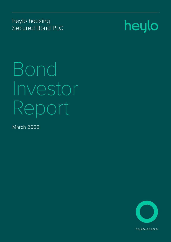heylo housing Secured Bond PLC



Bond Investor Report

March 2022



heylohousing.com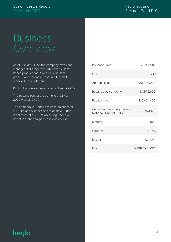## Business Overview

As of 31st Mar 2022, the company owns and manages 109 properties, 102 with its Home Reach product and 7 with its Your Home product and spread across 37 sites, and received £2.7m of grant.

Rent collection average for period was 99.75%.

The passing rent of the portfolio at 31 Mar 2022 was £519,490

The company currently has cash balances of c. £0.9m and also expects to achieve further initial sales of c. £0.3m which together it will invest in further properties in due course

| Issuance Date                                               | 29/10/2018   |
|-------------------------------------------------------------|--------------|
| GBP                                                         | <b>GBP</b>   |
| Amount issued                                               | £20,000,000  |
| Retained by company                                         | £4,575,600   |
| Publicly held                                               | £15,424,400  |
| <b>Current Accreted Aggregate</b><br>Notional Amount (CNIA) | £16,944,120  |
| Maturity                                                    | 2028         |
| Coupon                                                      | 1.625%       |
| Listing                                                     | London       |
| <b>ISIN</b>                                                 | XS1880955007 |

## heylo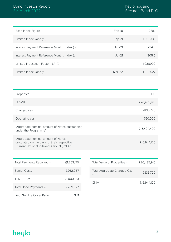| Base Index Figure                             | Feb-18   | 278.1    |
|-----------------------------------------------|----------|----------|
| Limited Index Ratio (t-1)                     | Sep-21   | 1.059333 |
| Interest Payment Reference Month: Index (t-1) | $Jan-21$ | 294.6    |
| Interest Payment Reference Month: Index (t)   | $Jul-21$ | 305.5    |
| Limited Indexation Factor: LPI (t)            |          | 1.036999 |
| Limited Index Ratio (t)                       | $Mar-22$ | 1.098527 |

| Properties                                                                                                                   | 109         |
|------------------------------------------------------------------------------------------------------------------------------|-------------|
| EUV-SH                                                                                                                       | £20,435,915 |
| Charged cash                                                                                                                 | £835,720    |
| Operating cash                                                                                                               | £50,000     |
| "Aggregate nominal amount of Notes outstanding<br>under the Programme"                                                       | £15,424,400 |
| "Aggregate nominal amount of Notes<br>calculated on the basis of their respective<br>Current Notional Indexed Amount (CNIA)" | £16,944,120 |

| Total Payments Received = | £1,263,170 |
|---------------------------|------------|
| Senior Costs $=$          | £262,957   |
| $TPR - SC =$              | £1,000,213 |
| Total Bond Payments $=$   | £269,927   |
| Debt Service Cover Ratio  | 3.71       |

| Total Value of Properties =         | £20,435,915 |
|-------------------------------------|-------------|
| <b>Total Aggregate Charged Cash</b> | £835,720    |
| $CNIA =$                            | £16,944,120 |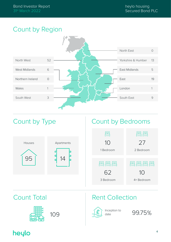## Count by Region





Inception to

date and 99.75%

109